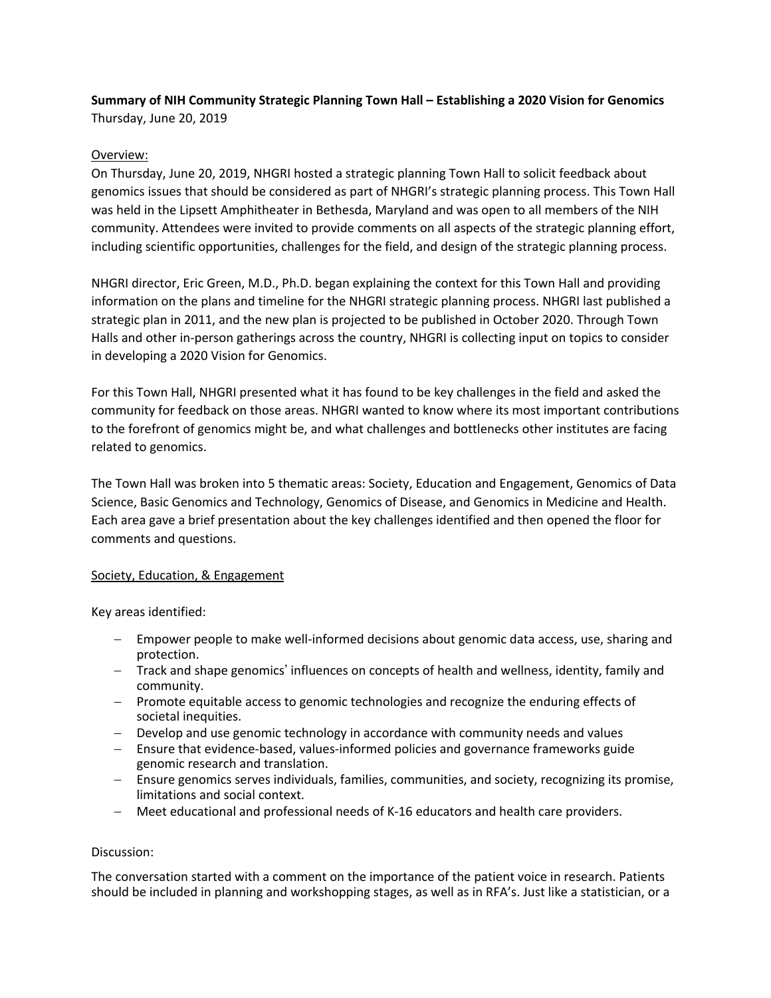# **Summary of NIH Community Strategic Planning Town Hall – Establishing a 2020 Vision for Genomics**  Thursday, June 20, 2019

# Overview:

On Thursday, June 20, 2019, NHGRI hosted a strategic planning Town Hall to solicit feedback about genomics issues that should be considered as part of NHGRI's strategic planning process. This Town Hall was held in the Lipsett Amphitheater in Bethesda, Maryland and was open to all members of the NIH community. Attendees were invited to provide comments on all aspects of the strategic planning effort, including scientific opportunities, challenges for the field, and design of the strategic planning process.

NHGRI director, Eric Green, M.D., Ph.D. began explaining the context for this Town Hall and providing information on the plans and timeline for the NHGRI strategic planning process. NHGRI last published a strategic plan in 2011, and the new plan is projected to be published in October 2020. Through Town Halls and other in-person gatherings across the country, NHGRI is collecting input on topics to consider in developing a 2020 Vision for Genomics.

For this Town Hall, NHGRI presented what it has found to be key challenges in the field and asked the community for feedback on those areas. NHGRI wanted to know where its most important contributions to the forefront of genomics might be, and what challenges and bottlenecks other institutes are facing related to genomics.

The Town Hall was broken into 5 thematic areas: Society, Education and Engagement, Genomics of Data Science, Basic Genomics and Technology, Genomics of Disease, and Genomics in Medicine and Health. Each area gave a brief presentation about the key challenges identified and then opened the floor for comments and questions.

## Society, Education, & Engagement

Key areas identified:

- Empower people to make well-informed decisions about genomic data access, use, sharing and protection.
- Track and shape genomics' influences on concepts of health and wellness, identity, family and community.
- Promote equitable access to genomic technologies and recognize the enduring effects of societal inequities.
- Develop and use genomic technology in accordance with community needs and values
- Ensure that evidence-based, values-informed policies and governance frameworks guide genomic research and translation.
- Ensure genomics serves individuals, families, communities, and society, recognizing its promise, limitations and social context.
- Meet educational and professional needs of K-16 educators and health care providers.

## Discussion:

The conversation started with a comment on the importance of the patient voice in research. Patients should be included in planning and workshopping stages, as well as in RFA's. Just like a statistician, or a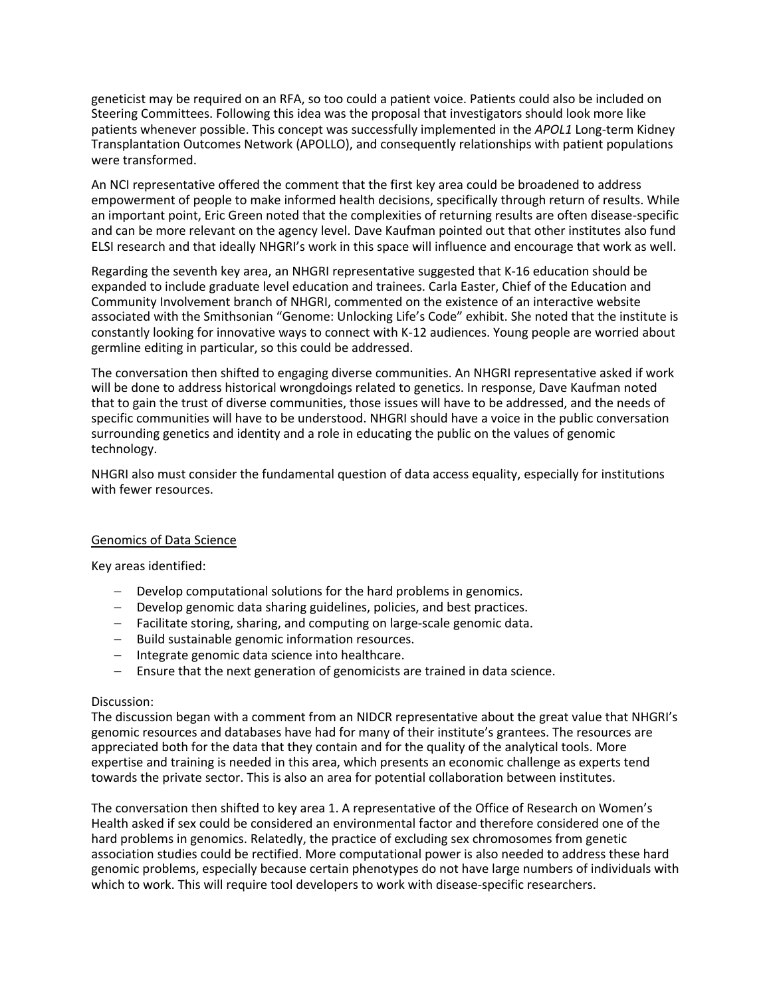geneticist may be required on an RFA, so too could a patient voice. Patients could also be included on Steering Committees. Following this idea was the proposal that investigators should look more like patients whenever possible. This concept was successfully implemented in the *APOL1* Long-term Kidney Transplantation Outcomes Network (APOLLO), and consequently relationships with patient populations were transformed.

An NCI representative offered the comment that the first key area could be broadened to address empowerment of people to make informed health decisions, specifically through return of results. While an important point, Eric Green noted that the complexities of returning results are often disease-specific and can be more relevant on the agency level. Dave Kaufman pointed out that other institutes also fund ELSI research and that ideally NHGRI's work in this space will influence and encourage that work as well.

Regarding the seventh key area, an NHGRI representative suggested that K-16 education should be expanded to include graduate level education and trainees. Carla Easter, Chief of the Education and Community Involvement branch of NHGRI, commented on the existence of an interactive website associated with the Smithsonian "Genome: Unlocking Life's Code" exhibit. She noted that the institute is constantly looking for innovative ways to connect with K-12 audiences. Young people are worried about germline editing in particular, so this could be addressed.

The conversation then shifted to engaging diverse communities. An NHGRI representative asked if work will be done to address historical wrongdoings related to genetics. In response, Dave Kaufman noted that to gain the trust of diverse communities, those issues will have to be addressed, and the needs of specific communities will have to be understood. NHGRI should have a voice in the public conversation surrounding genetics and identity and a role in educating the public on the values of genomic technology.

NHGRI also must consider the fundamental question of data access equality, especially for institutions with fewer resources.

#### Genomics of Data Science

Key areas identified:

- Develop computational solutions for the hard problems in genomics.
- Develop genomic data sharing guidelines, policies, and best practices.
- Facilitate storing, sharing, and computing on large-scale genomic data.
- Build sustainable genomic information resources.
- Integrate genomic data science into healthcare.
- Ensure that the next generation of genomicists are trained in data science.

#### Discussion:

The discussion began with a comment from an NIDCR representative about the great value that NHGRI's genomic resources and databases have had for many of their institute's grantees. The resources are appreciated both for the data that they contain and for the quality of the analytical tools. More expertise and training is needed in this area, which presents an economic challenge as experts tend towards the private sector. This is also an area for potential collaboration between institutes.

The conversation then shifted to key area 1. A representative of the Office of Research on Women's Health asked if sex could be considered an environmental factor and therefore considered one of the hard problems in genomics. Relatedly, the practice of excluding sex chromosomes from genetic association studies could be rectified. More computational power is also needed to address these hard genomic problems, especially because certain phenotypes do not have large numbers of individuals with which to work. This will require tool developers to work with disease-specific researchers.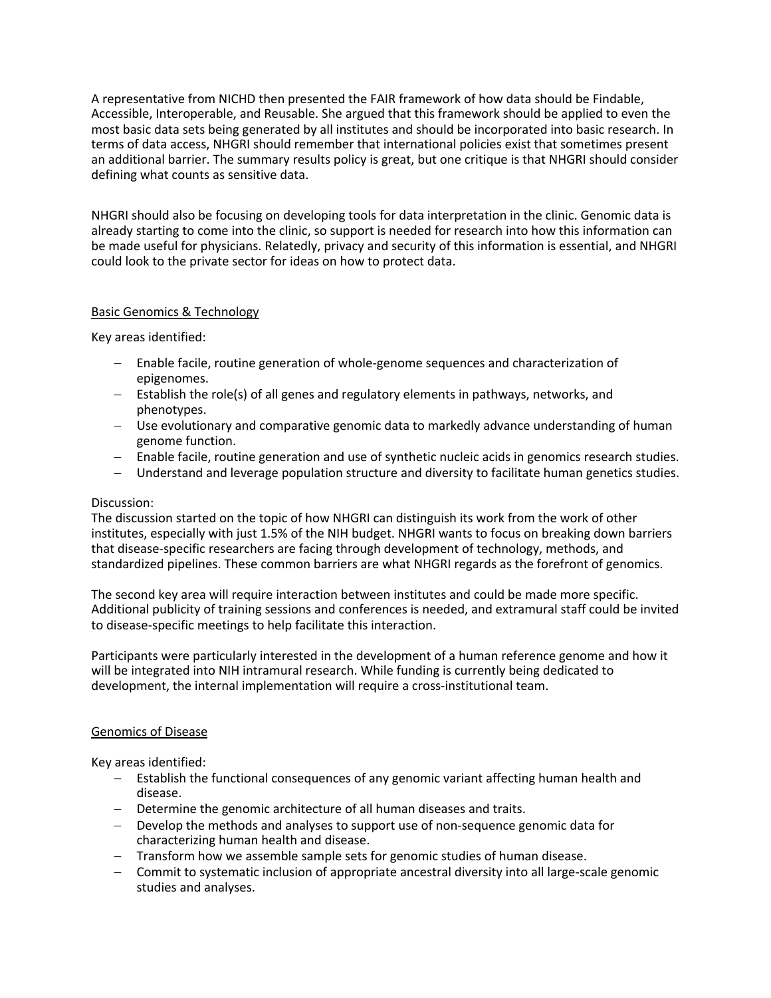A representative from NICHD then presented the FAIR framework of how data should be Findable, Accessible, Interoperable, and Reusable. She argued that this framework should be applied to even the most basic data sets being generated by all institutes and should be incorporated into basic research. In terms of data access, NHGRI should remember that international policies exist that sometimes present an additional barrier. The summary results policy is great, but one critique is that NHGRI should consider defining what counts as sensitive data.

NHGRI should also be focusing on developing tools for data interpretation in the clinic. Genomic data is already starting to come into the clinic, so support is needed for research into how this information can be made useful for physicians. Relatedly, privacy and security of this information is essential, and NHGRI could look to the private sector for ideas on how to protect data.

## Basic Genomics & Technology

Key areas identified:

- Enable facile, routine generation of whole-genome sequences and characterization of epigenomes.
- Establish the role(s) of all genes and regulatory elements in pathways, networks, and phenotypes.
- Use evolutionary and comparative genomic data to markedly advance understanding of human genome function.
- Enable facile, routine generation and use of synthetic nucleic acids in genomics research studies.
- Understand and leverage population structure and diversity to facilitate human genetics studies.

### Discussion:

The discussion started on the topic of how NHGRI can distinguish its work from the work of other institutes, especially with just 1.5% of the NIH budget. NHGRI wants to focus on breaking down barriers that disease-specific researchers are facing through development of technology, methods, and standardized pipelines. These common barriers are what NHGRI regards as the forefront of genomics.

The second key area will require interaction between institutes and could be made more specific. Additional publicity of training sessions and conferences is needed, and extramural staff could be invited to disease-specific meetings to help facilitate this interaction.

Participants were particularly interested in the development of a human reference genome and how it will be integrated into NIH intramural research. While funding is currently being dedicated to development, the internal implementation will require a cross-institutional team.

#### Genomics of Disease

Key areas identified:

- Establish the functional consequences of any genomic variant affecting human health and disease.
- Determine the genomic architecture of all human diseases and traits.
- Develop the methods and analyses to support use of non-sequence genomic data for characterizing human health and disease.
- Transform how we assemble sample sets for genomic studies of human disease.
- Commit to systematic inclusion of appropriate ancestral diversity into all large-scale genomic studies and analyses.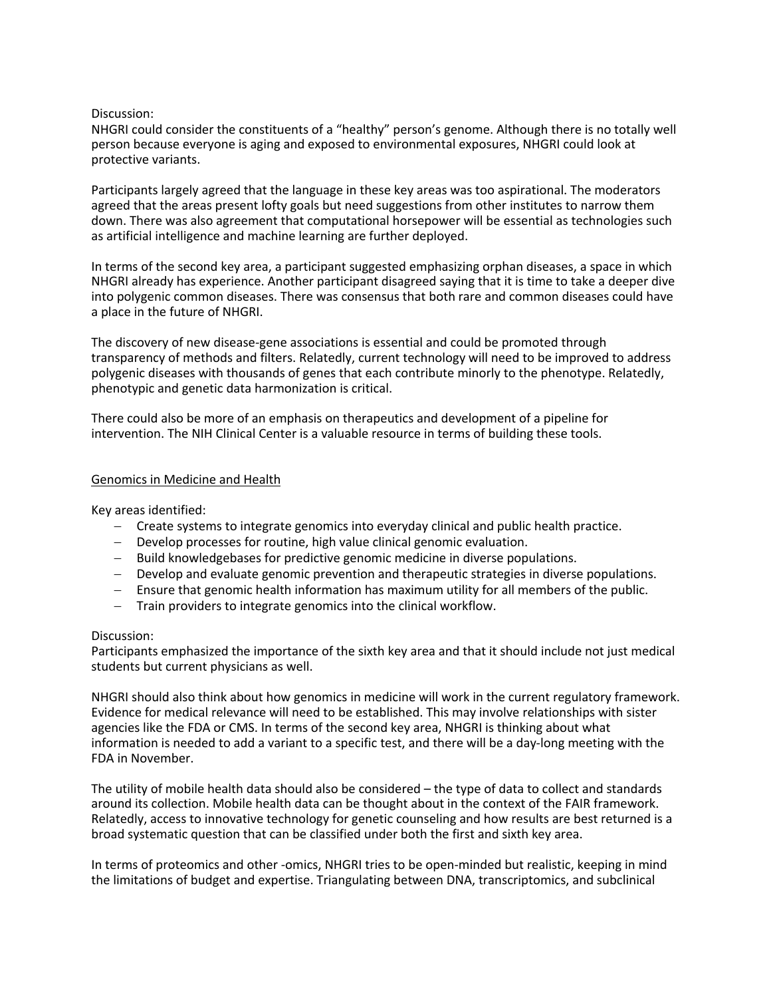### Discussion:

NHGRI could consider the constituents of a "healthy" person's genome. Although there is no totally well person because everyone is aging and exposed to environmental exposures, NHGRI could look at protective variants.

Participants largely agreed that the language in these key areas was too aspirational. The moderators agreed that the areas present lofty goals but need suggestions from other institutes to narrow them down. There was also agreement that computational horsepower will be essential as technologies such as artificial intelligence and machine learning are further deployed.

In terms of the second key area, a participant suggested emphasizing orphan diseases, a space in which NHGRI already has experience. Another participant disagreed saying that it is time to take a deeper dive into polygenic common diseases. There was consensus that both rare and common diseases could have a place in the future of NHGRI.

The discovery of new disease-gene associations is essential and could be promoted through transparency of methods and filters. Relatedly, current technology will need to be improved to address polygenic diseases with thousands of genes that each contribute minorly to the phenotype. Relatedly, phenotypic and genetic data harmonization is critical.

There could also be more of an emphasis on therapeutics and development of a pipeline for intervention. The NIH Clinical Center is a valuable resource in terms of building these tools.

### Genomics in Medicine and Health

Key areas identified:

- Create systems to integrate genomics into everyday clinical and public health practice.
- Develop processes for routine, high value clinical genomic evaluation.
- Build knowledgebases for predictive genomic medicine in diverse populations.
- Develop and evaluate genomic prevention and therapeutic strategies in diverse populations.
- Ensure that genomic health information has maximum utility for all members of the public.
- Train providers to integrate genomics into the clinical workflow.

#### Discussion:

Participants emphasized the importance of the sixth key area and that it should include not just medical students but current physicians as well.

NHGRI should also think about how genomics in medicine will work in the current regulatory framework. Evidence for medical relevance will need to be established. This may involve relationships with sister agencies like the FDA or CMS. In terms of the second key area, NHGRI is thinking about what information is needed to add a variant to a specific test, and there will be a day-long meeting with the FDA in November.

The utility of mobile health data should also be considered – the type of data to collect and standards around its collection. Mobile health data can be thought about in the context of the FAIR framework. Relatedly, access to innovative technology for genetic counseling and how results are best returned is a broad systematic question that can be classified under both the first and sixth key area.

In terms of proteomics and other -omics, NHGRI tries to be open-minded but realistic, keeping in mind the limitations of budget and expertise. Triangulating between DNA, transcriptomics, and subclinical